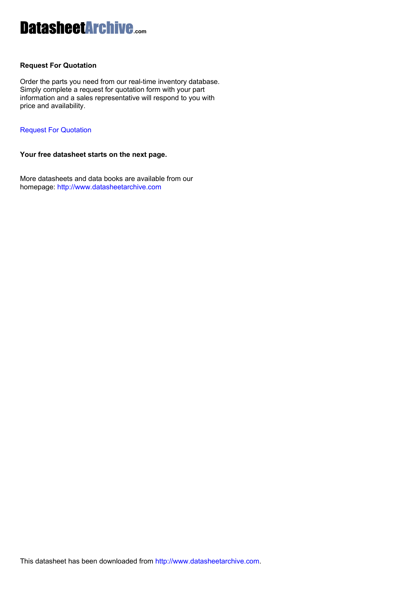# DatasheetArchive**.com**

## **Request For Quotation**

Order the parts you need from our real-time inventory database. Simply complete a request for quotation form with your part information and a sales representative will respond to you with price and availability.

## [Request For Quotation](http://www.datasheetarchive.com/ISO/)

**Your free datasheet starts on the next page.** 

More datasheets and data books are available from our homepage:<http://www.datasheetarchive.com>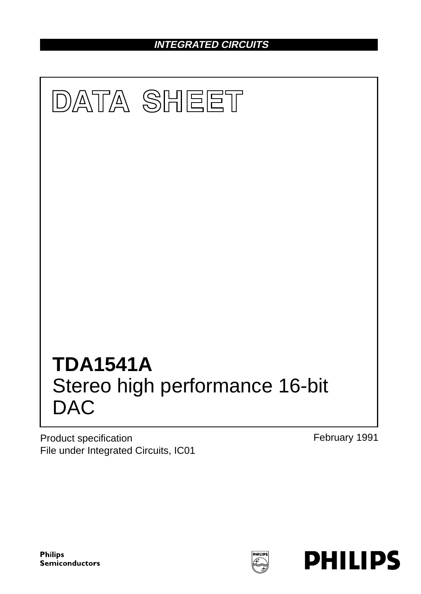**INTEGRATED CIRCUITS**



Product specification File under Integrated Circuits, IC01 February 1991

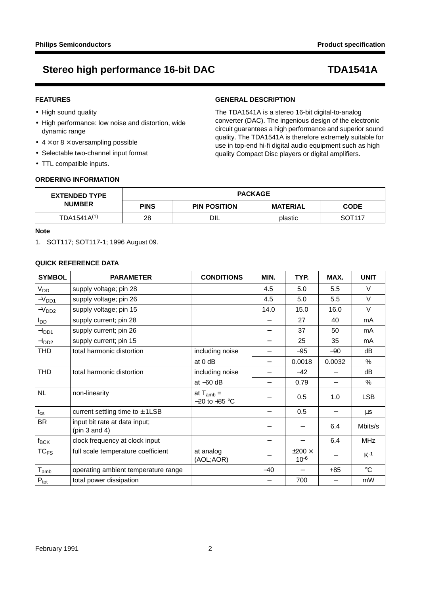## **FEATURES**

- High sound quality
- High performance: low noise and distortion, wide dynamic range
- $4 \times$  or  $8 \times$  oversampling possible
- Selectable two-channel input format
- TTL compatible inputs.

## **GENERAL DESCRIPTION**

The TDA1541A is a stereo 16-bit digital-to-analog converter (DAC). The ingenious design of the electronic circuit guarantees a high performance and superior sound quality. The TDA1541A is therefore extremely suitable for use in top-end hi-fi digital audio equipment such as high quality Compact Disc players or digital amplifiers.

## **ORDERING INFORMATION**

| <b>EXTENDED TYPE</b>    | <b>PACKAGE</b> |                     |                 |                    |  |
|-------------------------|----------------|---------------------|-----------------|--------------------|--|
| <b>NUMBER</b>           | <b>PINS</b>    | <b>PIN POSITION</b> | <b>MATERIAL</b> | <b>CODE</b>        |  |
| TDA1541A <sup>(1)</sup> | 28             | DIL                 | plastic         | SOT <sub>117</sub> |  |

### **Note**

1. SOT117; SOT117-1; 1996 August 09.

## **QUICK REFERENCE DATA**

| <b>SYMBOL</b>               | <b>PARAMETER</b>                                    | <b>CONDITIONS</b>                   | MIN.  | TYP.                          | MAX.   | <b>UNIT</b>     |
|-----------------------------|-----------------------------------------------------|-------------------------------------|-------|-------------------------------|--------|-----------------|
| V <sub>DD</sub>             | supply voltage; pin 28                              |                                     | 4.5   | 5.0                           | 5.5    | $\vee$          |
| $-V_{DD1}$                  | supply voltage; pin 26                              |                                     | 4.5   | 5.0                           | 5.5    | $\vee$          |
| $-VDD2$                     | supply voltage; pin 15                              |                                     | 14.0  | 15.0                          | 16.0   | $\vee$          |
| I <sub>DD</sub>             | supply current; pin 28                              |                                     |       | 27                            | 40     | mA              |
| $-I_{DD1}$                  | supply current; pin 26                              |                                     |       | 37                            | 50     | mA              |
| $-I_{DD2}$                  | supply current; pin 15                              |                                     |       | 25                            | 35     | mA              |
| THD                         | total harmonic distortion                           | including noise                     |       | $-95$                         | $-90$  | dB              |
|                             |                                                     | at 0 dB                             |       | 0.0018                        | 0.0032 | %               |
| <b>THD</b>                  | total harmonic distortion                           | including noise                     |       | $-42$                         |        | dВ              |
|                             |                                                     | at $-60$ dB                         |       | 0.79                          |        | %               |
| <b>NL</b>                   | non-linearity                                       | at $T_{amb} =$<br>$-20$ to $+85$ °C |       | 0.5                           | 1.0    | <b>LSB</b>      |
| $t_{\rm cs}$                | current settling time to $\pm$ 1LSB                 |                                     |       | 0.5                           |        | μs              |
| <b>BR</b>                   | input bit rate at data input;<br>(pin $3$ and $4$ ) |                                     |       |                               | 6.4    | Mbits/s         |
| $f_{\mathsf{BCK}}$          | clock frequency at clock input                      |                                     |       |                               | 6.4    | <b>MHz</b>      |
| $TC_{FS}$                   | full scale temperature coefficient                  | at analog<br>(AOL;AOR)              |       | $\pm 200 \times$<br>$10^{-6}$ |        | $K-1$           |
| $\mathsf{T}_{\mathsf{amb}}$ | operating ambient temperature range                 |                                     | $-40$ |                               | $+85$  | $\rm ^{\circ}C$ |
| $P_{\text{tot}}$            | total power dissipation                             |                                     |       | 700                           |        | mW              |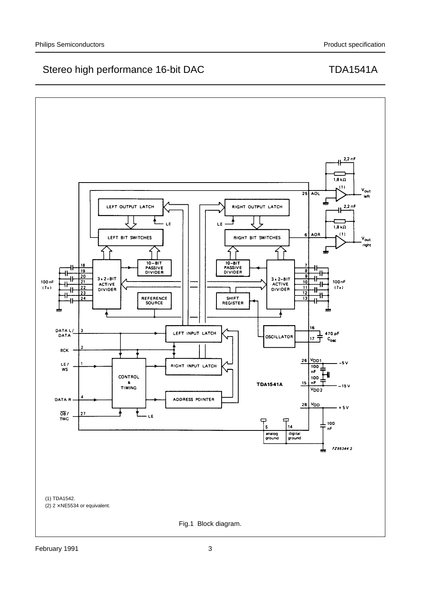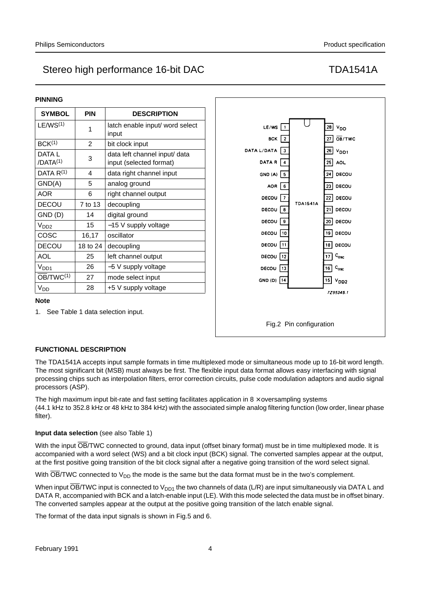| <b>PINNING</b>                 |            |                                                          |  |  |  |
|--------------------------------|------------|----------------------------------------------------------|--|--|--|
| <b>SYMBOL</b>                  | <b>PIN</b> | <b>DESCRIPTION</b>                                       |  |  |  |
| $LE/WS^{(1)}$                  | 1          | latch enable input/ word select<br>input                 |  |  |  |
| BCK <sup>(1)</sup>             | 2          | bit clock input                                          |  |  |  |
| DATA L<br>/DATA <sup>(1)</sup> | 3          | data left channel input/ data<br>input (selected format) |  |  |  |
| DATA R(1)                      | 4          | data right channel input                                 |  |  |  |
| GND(A)                         | 5          | analog ground                                            |  |  |  |
| AOR                            | 6          | right channel output                                     |  |  |  |
| <b>DECOU</b>                   | 7 to 13    | decoupling                                               |  |  |  |
| GND (D)                        | 14         | digital ground                                           |  |  |  |
| V <sub>DD2</sub>               | 15         | -15 V supply voltage                                     |  |  |  |
| COSC                           | 16,17      | oscillator                                               |  |  |  |
| <b>DECOU</b>                   | 18 to 24   | decoupling                                               |  |  |  |
| <b>AOL</b>                     | 25         | left channel output                                      |  |  |  |
| V <sub>DD1</sub>               | 26         | -5 V supply voltage                                      |  |  |  |
| $\overline{OB}/TWC^{(1)}$      | 27         | mode select input                                        |  |  |  |
| V <sub>DD</sub>                | 28         | +5 V supply voltage                                      |  |  |  |



## **Note**

1. See Table 1 data selection input.

## **FUNCTIONAL DESCRIPTION**

The TDA1541A accepts input sample formats in time multiplexed mode or simultaneous mode up to 16-bit word length. The most significant bit (MSB) must always be first. The flexible input data format allows easy interfacing with signal processing chips such as interpolation filters, error correction circuits, pulse code modulation adaptors and audio signal processors (ASP).

The high maximum input bit-rate and fast setting facilitates application in  $8 \times$  oversampling systems (44.1 kHz to 352.8 kHz or 48 kHz to 384 kHz) with the associated simple analog filtering function (low order, linear phase filter).

### **Input data selection** (see also Table 1)

With the input OB/TWC connected to ground, data input (offset binary format) must be in time multiplexed mode. It is accompanied with a word select (WS) and a bit clock input (BCK) signal. The converted samples appear at the output, at the first positive going transition of the bit clock signal after a negative going transition of the word select signal.

With  $\overline{OB}/TWC$  connected to  $V_{DD}$  the mode is the same but the data format must be in the two's complement.

When input OB/TWC input is connected to  $V_{DD1}$  the two channels of data (L/R) are input simultaneously via DATA L and DATA R, accompanied with BCK and a latch-enable input (LE). With this mode selected the data must be in offset binary. The converted samples appear at the output at the positive going transition of the latch enable signal.

The format of the data input signals is shown in Fig.5 and 6.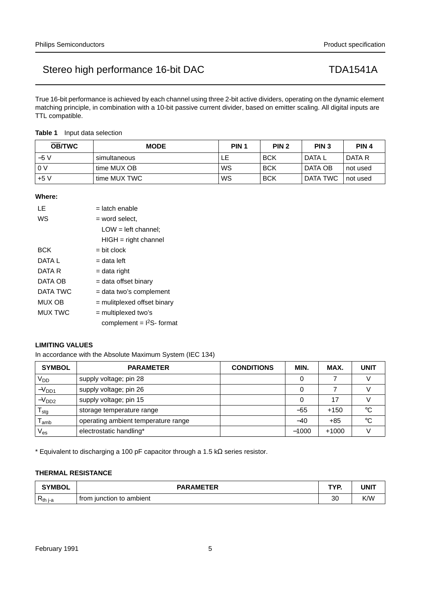True 16-bit performance is achieved by each channel using three 2-bit active dividers, operating on the dynamic element matching principle, in combination with a 10-bit passive current divider, based on emitter scaling. All digital inputs are TTL compatible.

### **Table 1** Input data selection

| <b>OB/TWC</b> | <b>MODE</b>  | PIN <sub>1</sub> | PIN <sub>2</sub> | PIN <sub>3</sub> | PIN <sub>4</sub> |
|---------------|--------------|------------------|------------------|------------------|------------------|
| $-5V$         | simultaneous |                  | <b>BCK</b>       | DATA L           | DATA R           |
| . 0 V         | time MUX OB  | WS               | <b>BCK</b>       | DATA OB          | not used         |
| $+5V$         | time MUX TWC | WS               | <b>BCK</b>       | DATA TWC         | not used         |

### **Where:**

| LE             | = latch enable                |
|----------------|-------------------------------|
| WS             | = word select.                |
|                | $LOW = left channel;$         |
|                | $HIGH = right channel$        |
| BCK            | $=$ bit clock                 |
| DATA L         | = data left                   |
| DATA R         | = data right                  |
| DATA OB        | = data offset binary          |
| DATA TWC       | = data two's complement       |
| MUX OB         | $=$ mulitplexed offset binary |
| <b>MUX TWC</b> | $=$ multiplexed two's         |
|                | complement = $12S$ - format   |

## **LIMITING VALUES**

In accordance with the Absolute Maximum System (IEC 134)

| <b>SYMBOL</b>               | <b>PARAMETER</b>                    | <b>CONDITIONS</b> | MIN.    | MAX.    | <b>UNIT</b> |
|-----------------------------|-------------------------------------|-------------------|---------|---------|-------------|
| V <sub>DD</sub>             | supply voltage; pin 28              |                   |         |         |             |
| $-V_{DD1}$                  | supply voltage; pin 26              |                   |         |         |             |
| $-V_{DD2}$                  | supply voltage; pin 15              |                   |         | 17      |             |
| $\mathsf{r}_{\mathsf{stg}}$ | storage temperature range           |                   | $-55$   | $+150$  | °C          |
| amb                         | operating ambient temperature range |                   | $-40$   | $+85$   | °C          |
| $\mathsf{V}_{\mathsf{es}}$  | electrostatic handling*             |                   | $-1000$ | $+1000$ |             |

\* Equivalent to discharging a 100 pF capacitor through a 1.5 kΩ series resistor.

## **THERMAL RESISTANCE**

| <b>SYMBOL</b>        | <b>PARAMETER</b>              |    | UNI <sup>-</sup> |
|----------------------|-------------------------------|----|------------------|
| P<br><b>K</b> th i-a | i junction to ambient<br>trom | 30 | K/W              |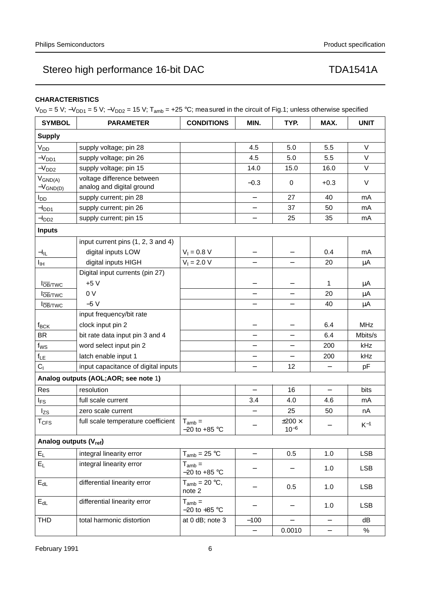## **CHARACTERISTICS**

 $V_{DD} = 5 V$ ;  $-V_{DD1} = 5 V$ ;  $-V_{DD2} = 15 V$ ;  $T_{amb} = +25 °C$ ; measured in the circuit of Fig.1; unless otherwise specified

| <b>SYMBOL</b>                                | <b>PARAMETER</b>                                        | <b>CONDITIONS</b>                | MIN.                     | TYP.                          | MAX.              | <b>UNIT</b> |
|----------------------------------------------|---------------------------------------------------------|----------------------------------|--------------------------|-------------------------------|-------------------|-------------|
| <b>Supply</b>                                |                                                         |                                  |                          |                               |                   |             |
| V <sub>DD</sub>                              | supply voltage; pin 28                                  |                                  | 4.5                      | 5.0                           | 5.5               | $\vee$      |
| $-V_{DD1}$                                   | supply voltage; pin 26                                  |                                  | 4.5                      | 5.0                           | 5.5               | $\vee$      |
| $-VDD2$                                      | supply voltage; pin 15                                  |                                  | 14.0                     | 15.0                          | 16.0              | $\vee$      |
| $V_{GND(A)}$<br>$-V_{GND(D)}$                | voltage difference between<br>analog and digital ground |                                  | $-0.3$                   | 0                             | $+0.3$            | $\vee$      |
| <b>I</b> <sub>DD</sub>                       | supply current; pin 28                                  |                                  | $\qquad \qquad -$        | 27                            | 40                | mA          |
| -l <sub>DD1</sub>                            | supply current; pin 26                                  |                                  | $\qquad \qquad -$        | 37                            | 50                | mA          |
| $-IDD2$                                      | supply current; pin 15                                  |                                  | $\qquad \qquad -$        | 25                            | 35                | mA          |
| <b>Inputs</b>                                |                                                         |                                  |                          |                               |                   |             |
|                                              | input current pins (1, 2, 3 and 4)                      |                                  |                          |                               |                   |             |
| $-I_{IL}$                                    | digital inputs LOW                                      | $V_1 = 0.8 V$                    |                          |                               | 0.4               | mA          |
| Iщ                                           | digital inputs HIGH                                     | $V_1 = 2.0 V$                    |                          |                               | 20                | μA          |
|                                              | Digital input currents (pin 27)                         |                                  |                          |                               |                   |             |
| $ I_{\overline{\mathrm{OB}}/ \mathrm{TWC}} $ | $+5V$                                                   |                                  |                          |                               | 1                 | μA          |
| $ I_{\overline{\mathrm{OB}}/\mathrm{TWC}} $  | 0 <sub>V</sub>                                          |                                  |                          |                               | 20                | $\mu$ A     |
| $ I_{\overline{\mathrm{OB}}/\mathrm{TWC}} $  | $-5V$                                                   |                                  |                          |                               | 40                | μA          |
|                                              | input frequency/bit rate                                |                                  |                          |                               |                   |             |
| $f_{\mathsf{BCK}}$                           | clock input pin 2                                       |                                  |                          |                               | 6.4               | <b>MHz</b>  |
| <b>BR</b>                                    | bit rate data input pin 3 and 4                         |                                  | —                        | $\overline{\phantom{0}}$      | 6.4               | Mbits/s     |
| $f_{WS}$                                     | word select input pin 2                                 |                                  |                          |                               | 200               | kHz         |
| $f_{LE}$                                     | latch enable input 1                                    |                                  |                          |                               | 200               | kHz         |
| C <sub>1</sub>                               | input capacitance of digital inputs                     |                                  | $\overline{\phantom{0}}$ | 12                            |                   | pF          |
|                                              | Analog outputs (AOL;AOR; see note 1)                    |                                  |                          |                               |                   |             |
| Res                                          | resolution                                              |                                  |                          | 16                            |                   | bits        |
| $I_{FS}$                                     | full scale current                                      |                                  | 3.4                      | 4.0                           | 4.6               | mA          |
| $ I_{\text{zs}} $                            | zero scale current                                      |                                  |                          | 25                            | 50                | nA          |
| T <sub>CFS</sub>                             | full scale temperature coefficient                      | $T_{amb} =$<br>$-20$ to $+85$ °C |                          | $\pm 200 \times$<br>$10^{-6}$ |                   | $K^{-1}$    |
| Analog outputs (V <sub>ref</sub> )           |                                                         |                                  |                          |                               |                   |             |
| $E_L$                                        | integral linearity error                                | $T_{amb}$ = 25 °C                | $\qquad \qquad -$        | 0.5                           | 1.0               | <b>LSB</b>  |
| $E_L$                                        | integral linearity error                                | $T_{amb} =$<br>$-20$ to $+85$ °C |                          |                               | 1.0               | <b>LSB</b>  |
| $E_{dL}$                                     | differential linearity error                            | $T_{amb}$ = 20 °C,<br>note 2     |                          | 0.5                           | 1.0               | <b>LSB</b>  |
| $E_{dL}$                                     | differential linearity error                            | $T_{amb} =$<br>$-20$ to $+85$ °C |                          |                               | 1.0               | <b>LSB</b>  |
| <b>THD</b>                                   | total harmonic distortion                               | at 0 dB; note 3                  | $-100$                   |                               |                   | dB          |
|                                              |                                                         |                                  | $\qquad \qquad -$        | 0.0010                        | $\qquad \qquad -$ | %           |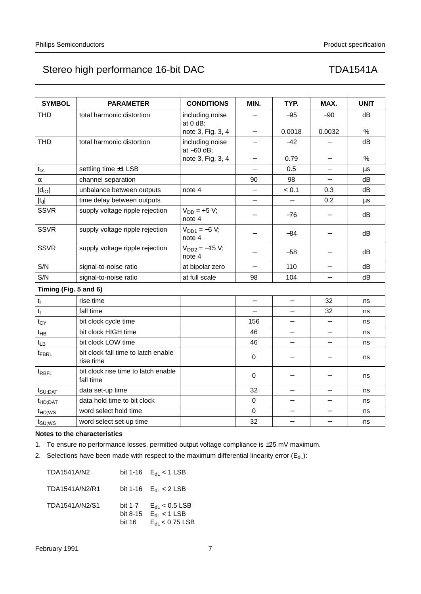| <b>SYMBOL</b>             | <b>PARAMETER</b>                                 | <b>CONDITIONS</b>               | MIN.                     | TYP.                     | MAX.                     | <b>UNIT</b> |
|---------------------------|--------------------------------------------------|---------------------------------|--------------------------|--------------------------|--------------------------|-------------|
| <b>THD</b>                | total harmonic distortion                        | including noise<br>at $0$ dB;   |                          | $-95$                    | $-90$                    | dB          |
|                           |                                                  | note 3, Fig. 3, 4               | $\overline{\phantom{0}}$ | 0.0018                   | 0.0032                   | $\%$        |
| <b>THD</b>                | total harmonic distortion                        | including noise<br>at $-60$ dB; |                          | $-42$                    |                          | dB          |
|                           |                                                  | note 3, Fig. 3, 4               | $\qquad \qquad -$        | 0.79                     | $\overline{\phantom{0}}$ | %           |
| $t_{\rm cs}$              | settling time ±1 LSB                             |                                 |                          | 0.5                      |                          | $\mu s$     |
| α                         | channel separation                               |                                 | 90                       | 98                       | $\overline{\phantom{0}}$ | dB          |
| $ d_{\text{IO}} $         | unbalance between outputs                        | note 4                          |                          | < 0.1                    | 0.3                      | dB          |
| $ t_d $                   | time delay between outputs                       |                                 |                          |                          | 0.2                      | $\mu s$     |
| <b>SSVR</b>               | supply voltage ripple rejection                  | $V_{DD} = +5 V;$<br>note 4      |                          | $-76$                    |                          | dB          |
| <b>SSVR</b>               | supply voltage ripple rejection                  | $V_{DD1} = -5 V;$<br>note 4     |                          | $-84$                    |                          | dB          |
| <b>SSVR</b>               | supply voltage ripple rejection                  | $V_{DD2} = -15 V;$<br>note 4    |                          | $-58$                    |                          | dB          |
| S/N                       | signal-to-noise ratio                            | at bipolar zero                 |                          | 110                      |                          | dB          |
| S/N                       | signal-to-noise ratio                            | at full scale                   | 98                       | 104                      | $\overline{\phantom{m}}$ | dB          |
| Timing (Fig. 5 and 6)     |                                                  |                                 |                          |                          |                          |             |
| $\mathsf{t}_{\mathsf{r}}$ | rise time                                        |                                 | $\overline{\phantom{0}}$ | $\overline{\phantom{0}}$ | 32                       | ns          |
| $t_f$                     | fall time                                        |                                 |                          |                          | 32                       | ns          |
| $t_{CY}$                  | bit clock cycle time                             |                                 | 156                      |                          | $\overline{\phantom{0}}$ | ns          |
| t <sub>HB</sub>           | bit clock HIGH time                              |                                 | 46                       |                          | $\overline{\phantom{0}}$ | ns          |
| $t_{LB}$                  | bit clock LOW time                               |                                 | 46                       | $\overline{\phantom{0}}$ | $\overline{\phantom{0}}$ | ns          |
| tFBRL                     | bit clock fall time to latch enable<br>rise time |                                 | $\mathbf 0$              |                          |                          | ns          |
| t <sub>RBFL</sub>         | bit clock rise time to latch enable<br>fall time |                                 | $\mathbf 0$              |                          |                          | ns          |
| $t_{\text{SU;DAT}}$       | data set-up time                                 |                                 | 32                       | $\qquad \qquad -$        | $\overline{\phantom{0}}$ | ns          |
| t <sub>HD;DAT</sub>       | data hold time to bit clock                      |                                 | $\overline{0}$           | $\overline{\phantom{0}}$ | $\equiv$                 | ns          |
| t <sub>HD;WS</sub>        | word select hold time                            |                                 | $\mathbf 0$              | $\overline{\phantom{0}}$ | $\qquad \qquad -$        | ns          |
| $t_{\text{SU;WS}}$        | word select set-up time                          |                                 | 32                       | $\overline{\phantom{m}}$ | $\qquad \qquad -$        | ns          |

### **Notes to the characteristics**

1. To ensure no performance losses, permitted output voltage compliance is ±25 mV maximum.

2. Selections have been made with respect to the maximum differential linearity error  $(E_{dL})$ :

| <b>TDA1541A/N2</b> |                    | bit 1-16 $E_{dL}$ < 1 LSB                                                                  |
|--------------------|--------------------|--------------------------------------------------------------------------------------------|
| TDA1541A/N2/R1     |                    | bit 1-16 $E_{\text{dl}} < 2$ LSB                                                           |
| TDA1541A/N2/S1     | bit 8-15<br>bit 16 | bit 1-7 $E_{\text{dL}} < 0.5$ LSB<br>$E_{\text{dl}}$ < 1 LSB<br>$E_{\text{dl}}$ < 0.75 LSB |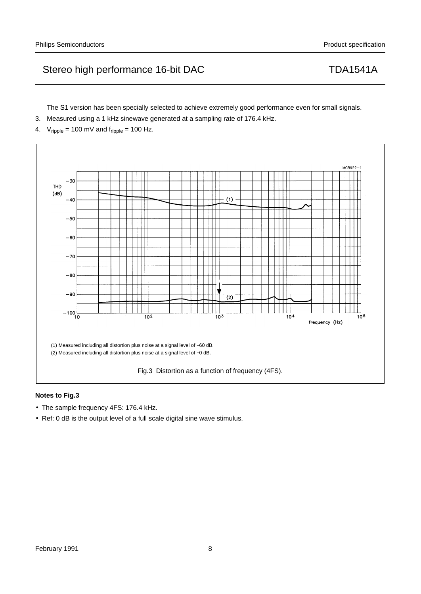The S1 version has been specially selected to achieve extremely good performance even for small signals.

- 3. Measured using a 1 kHz sinewave generated at a sampling rate of 176.4 kHz.
- 4.  $V_{\text{ripole}} = 100 \text{ mV}$  and  $f_{\text{ripole}} = 100 \text{ Hz}$ .



## **Notes to Fig.3**

- The sample frequency 4FS: 176.4 kHz.
- Ref: 0 dB is the output level of a full scale digital sine wave stimulus.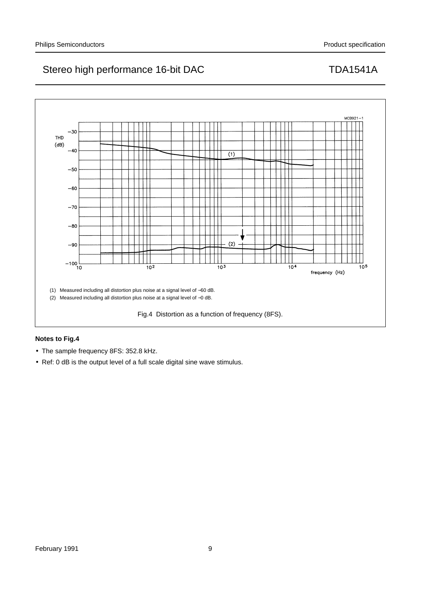

## **Notes to Fig.4**

- The sample frequency 8FS: 352.8 kHz.
- Ref: 0 dB is the output level of a full scale digital sine wave stimulus.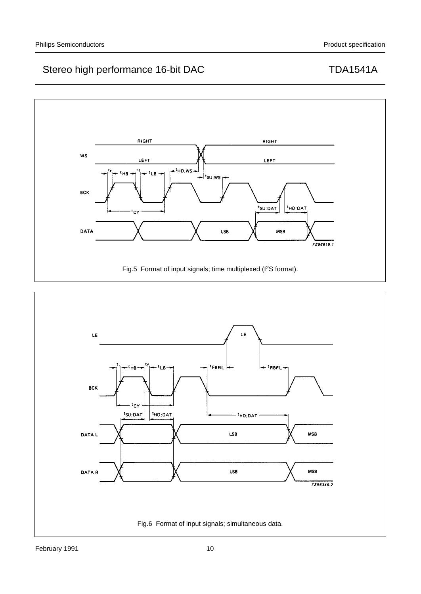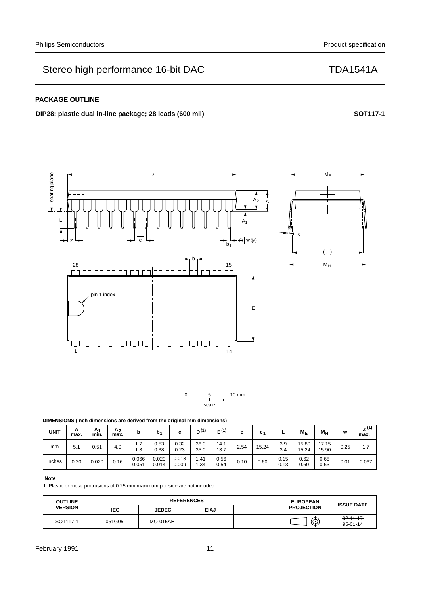## **PACKAGE OUTLINE**

## **DIP28:** plastic dual in-line package; 28 leads (600 mil) **handbook**, full pagewidth **SOT117-1**



### **Note**

1. Plastic or metal protrusions of 0.25 mm maximum per side are not included.

| <b>OUTLINE</b>       | <b>REFERENCES</b> |                 |             | <b>EUROPEAN</b> | <b>ISSUE DATE</b> |                              |
|----------------------|-------------------|-----------------|-------------|-----------------|-------------------|------------------------------|
| <b>VERSION</b>       | IEC               | <b>JEDEC</b>    | <b>EIAJ</b> |                 | <b>PROJECTION</b> |                              |
| SOT <sub>117-1</sub> | 051G05            | <b>MO-015AH</b> |             |                 | ⊕                 | $92 - 11 - 17$<br>$95-01-14$ |